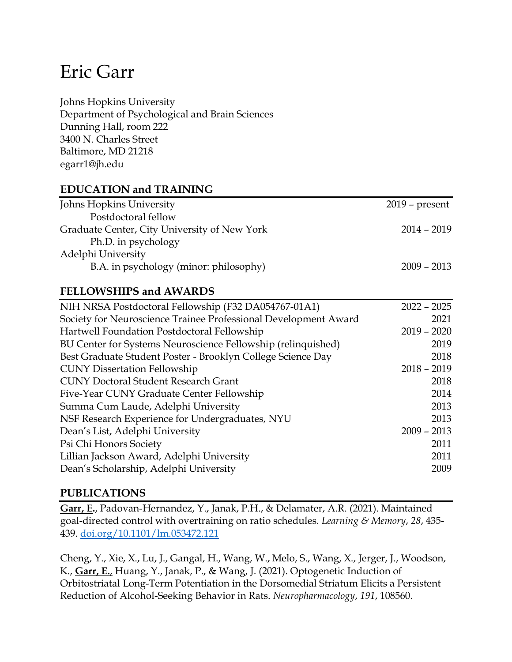# Eric Garr

Johns Hopkins University Department of Psychological and Brain Sciences Dunning Hall, room 222 3400 N. Charles Street Baltimore, MD 21218 egarr1@jh.edu

#### **EDUCATION and TRAINING**

| $2019$ – present |
|------------------|
|                  |
| $2014 - 2019$    |
|                  |
|                  |
| $2009 - 2013$    |
|                  |

#### **FELLOWSHIPS and AWARDS**

| NIH NRSA Postdoctoral Fellowship (F32 DA054767-01A1)            | $2022 - 2025$ |
|-----------------------------------------------------------------|---------------|
| Society for Neuroscience Trainee Professional Development Award | 2021          |
| Hartwell Foundation Postdoctoral Fellowship                     | $2019 - 2020$ |
| BU Center for Systems Neuroscience Fellowship (relinquished)    | 2019          |
| Best Graduate Student Poster - Brooklyn College Science Day     | 2018          |
| <b>CUNY Dissertation Fellowship</b>                             | $2018 - 2019$ |
| <b>CUNY Doctoral Student Research Grant</b>                     | 2018          |
| Five-Year CUNY Graduate Center Fellowship                       | 2014          |
| Summa Cum Laude, Adelphi University                             | 2013          |
| NSF Research Experience for Undergraduates, NYU                 | 2013          |
| Dean's List, Adelphi University                                 | $2009 - 2013$ |
| Psi Chi Honors Society                                          | 2011          |
| Lillian Jackson Award, Adelphi University                       | 2011          |
| Dean's Scholarship, Adelphi University                          | 2009          |
|                                                                 |               |

#### **PUBLICATIONS**

**Garr, E.**, Padovan-Hernandez, Y., Janak, P.H., & Delamater, A.R. (2021). Maintained goal-directed control with overtraining on ratio schedules. *Learning & Memory*, *28*, 435- 439. [doi.org/10.1101/lm.053472.121](http://doi.org/10.1101/lm.053472.121)

Cheng, Y., Xie, X., Lu, J., Gangal, H., Wang, W., Melo, S., Wang, X., Jerger, J., Woodson, K., **Garr, E.**, Huang, Y., Janak, P., & Wang, J. (2021). Optogenetic Induction of Orbitostriatal Long-Term Potentiation in the Dorsomedial Striatum Elicits a Persistent Reduction of Alcohol-Seeking Behavior in Rats. *Neuropharmacology*, *191*, 108560.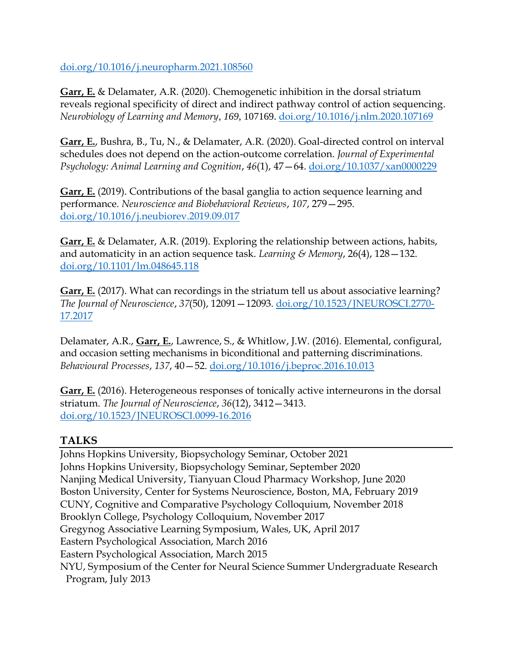[doi.org/10.1016/j.neuropharm.2021.108560](http://doi.org/10.1016/j.neuropharm.2021.108560)

**Garr, E.** & Delamater, A.R. (2020). Chemogenetic inhibition in the dorsal striatum reveals regional specificity of direct and indirect pathway control of action sequencing. *Neurobiology of Learning and Memory*, *169*, 107169. [doi.org/10.1016/j.nlm.2020.107169](https://doi.org/10.1016/j.nlm.2020.107169)

**Garr, E.**, Bushra, B., Tu, N., & Delamater, A.R. (2020). Goal-directed control on interval schedules does not depend on the action-outcome correlation. *Journal of Experimental Psychology: Animal Learning and Cognition*, *46*(1), 47—64. [doi.org/10.1037/xan0000229](http://doi.org/10.1037/xan0000229)

**Garr, E.** (2019). Contributions of the basal ganglia to action sequence learning and performance. *Neuroscience and Biobehavioral Reviews*, *107*, 279—295. [doi.org/10.1016/j.neubiorev.2019.09.017](http://doi.org/10.1016/j.neubiorev.2019.09.017)

**Garr, E.** & Delamater, A.R. (2019). Exploring the relationship between actions, habits, and automaticity in an action sequence task. *Learning & Memory*, 26(4), 128—132. [doi.org/10.1101/lm.048645.118](http://doi.org/10.1101/lm.048645.118)

**Garr, E.** (2017). What can recordings in the striatum tell us about associative learning? *The Journal of Neuroscience*, *37*(50), 12091—12093*.* [doi.org/10.1523/JNEUROSCI.2770-](http://doi.org/10.1523/JNEUROSCI.2770-17.2017) [17.2017](http://doi.org/10.1523/JNEUROSCI.2770-17.2017)

Delamater, A.R., **Garr, E.**, Lawrence, S., & Whitlow, J.W. (2016). Elemental, configural, and occasion setting mechanisms in biconditional and patterning discriminations. *Behavioural Processes*, *137*, 40—52. [doi.org/10.1016/j.beproc.2016.10.013](http://doi.org/10.1016/j.beproc.2016.10.013)

**Garr, E.** (2016). Heterogeneous responses of tonically active interneurons in the dorsal striatum. *The Journal of Neuroscience*, *36*(12), 3412—3413. [doi.org/10.1523/JNEUROSCI.0099-16.2016](http://doi.org/10.1523/JNEUROSCI.0099-16.2016)

# **TALKS**

Johns Hopkins University, Biopsychology Seminar, October 2021 Johns Hopkins University, Biopsychology Seminar, September 2020 Nanjing Medical University, Tianyuan Cloud Pharmacy Workshop, June 2020 Boston University, Center for Systems Neuroscience, Boston, MA, February 2019 CUNY, Cognitive and Comparative Psychology Colloquium, November 2018 Brooklyn College, Psychology Colloquium, November 2017 Gregynog Associative Learning Symposium, Wales, UK, April 2017 Eastern Psychological Association, March 2016 Eastern Psychological Association, March 2015 NYU, Symposium of the Center for Neural Science Summer Undergraduate Research Program, July 2013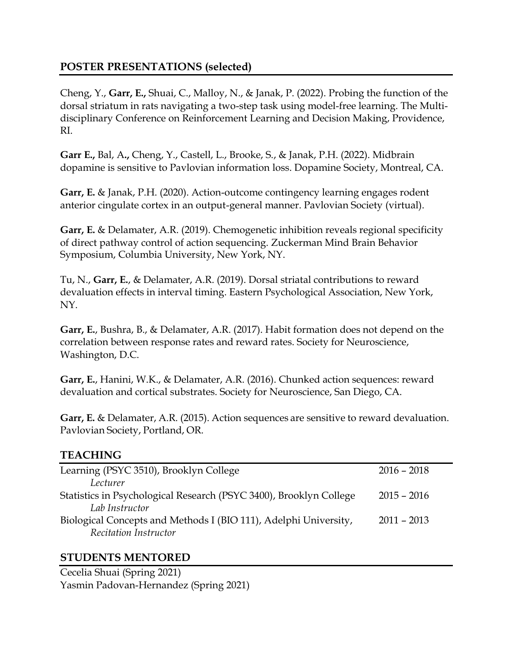### **POSTER PRESENTATIONS (selected)**

Cheng, Y., **Garr, E.,** Shuai, C., Malloy, N., & Janak, P. (2022). Probing the function of the dorsal striatum in rats navigating a two-step task using model-free learning. The Multidisciplinary Conference on Reinforcement Learning and Decision Making, Providence, RI.

**Garr E.,** Bal, A**.,** Cheng, Y., Castell, L., Brooke, S., & Janak, P.H. (2022). Midbrain dopamine is sensitive to Pavlovian information loss. Dopamine Society, Montreal, CA.

**Garr, E.** & Janak, P.H. (2020). Action-outcome contingency learning engages rodent anterior cingulate cortex in an output-general manner. Pavlovian Society (virtual).

**Garr, E.** & Delamater, A.R. (2019). Chemogenetic inhibition reveals regional specificity of direct pathway control of action sequencing. Zuckerman Mind Brain Behavior Symposium, Columbia University, New York, NY.

Tu, N., **Garr, E.**, & Delamater, A.R. (2019). Dorsal striatal contributions to reward devaluation effects in interval timing. Eastern Psychological Association, New York, NY.

**Garr, E.**, Bushra, B., & Delamater, A.R. (2017). Habit formation does not depend on the correlation between response rates and reward rates. Society for Neuroscience, Washington, D.C.

**Garr, E.**, Hanini, W.K., & Delamater, A.R. (2016). Chunked action sequences: reward devaluation and cortical substrates. Society for Neuroscience, San Diego, CA.

**Garr, E.** & Delamater, A.R. (2015). Action sequences are sensitive to reward devaluation. Pavlovian Society, Portland, OR.

# **TEACHING**

| Learning (PSYC 3510), Brooklyn College                             | $2016 - 2018$ |
|--------------------------------------------------------------------|---------------|
| Lecturer                                                           |               |
| Statistics in Psychological Research (PSYC 3400), Brooklyn College | $2015 - 2016$ |
| Lab Instructor                                                     |               |
| Biological Concepts and Methods I (BIO 111), Adelphi University,   | $2011 - 2013$ |
| Recitation Instructor                                              |               |

#### **STUDENTS MENTORED**

Cecelia Shuai (Spring 2021) Yasmin Padovan-Hernandez (Spring 2021)